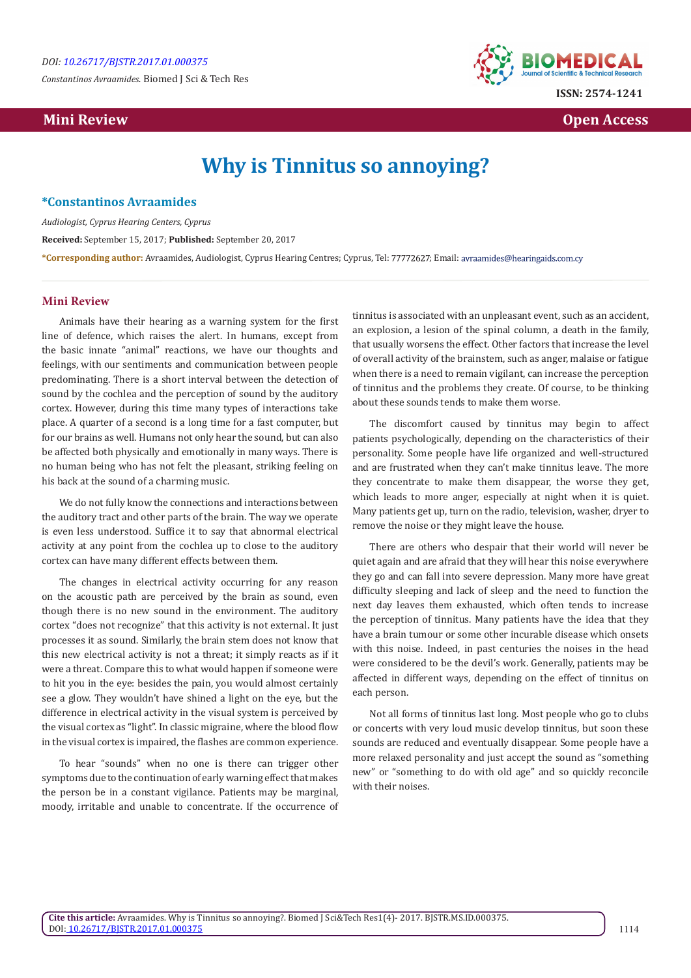*Constantinos Avraamides.* Biomed J Sci & Tech Res



 **Mini Review Open Access** 

# **Why is Tinnitus so annoying?**

#### **\*Constantinos Avraamides**

*Audiologist, Cyprus Hearing Centers, Cyprus*  **Received:** September 15, 2017; **Published:** September 20, 2017 \*Corresponding author: Avraamides, Audiologist, Cyprus Hearing Centres; Cyprus, Tel: 77772627; Email: avraamides@hearingaids.com.cy

#### **Mini Review**

Animals have their hearing as a warning system for the first line of defence, which raises the alert. In humans, except from the basic innate "animal" reactions, we have our thoughts and feelings, with our sentiments and communication between people predominating. There is a short interval between the detection of sound by the cochlea and the perception of sound by the auditory cortex. However, during this time many types of interactions take place. A quarter of a second is a long time for a fast computer, but for our brains as well. Humans not only hear the sound, but can also be affected both physically and emotionally in many ways. There is no human being who has not felt the pleasant, striking feeling on his back at the sound of a charming music.

We do not fully know the connections and interactions between the auditory tract and other parts of the brain. The way we operate is even less understood. Suffice it to say that abnormal electrical activity at any point from the cochlea up to close to the auditory cortex can have many different effects between them.

The changes in electrical activity occurring for any reason on the acoustic path are perceived by the brain as sound, even though there is no new sound in the environment. The auditory cortex "does not recognize" that this activity is not external. It just processes it as sound. Similarly, the brain stem does not know that this new electrical activity is not a threat; it simply reacts as if it were a threat. Compare this to what would happen if someone were to hit you in the eye: besides the pain, you would almost certainly see a glow. They wouldn't have shined a light on the eye, but the difference in electrical activity in the visual system is perceived by the visual cortex as "light". In classic migraine, where the blood flow in the visual cortex is impaired, the flashes are common experience.

To hear "sounds" when no one is there can trigger other symptoms due to the continuation of early warning effect that makes the person be in a constant vigilance. Patients may be marginal, moody, irritable and unable to concentrate. If the occurrence of tinnitus is associated with an unpleasant event, such as an accident, an explosion, a lesion of the spinal column, a death in the family, that usually worsens the effect. Other factors that increase the level of overall activity of the brainstem, such as anger, malaise or fatigue when there is a need to remain vigilant, can increase the perception of tinnitus and the problems they create. Of course, to be thinking about these sounds tends to make them worse.

The discomfort caused by tinnitus may begin to affect patients psychologically, depending on the characteristics of their personality. Some people have life organized and well-structured and are frustrated when they can't make tinnitus leave. The more they concentrate to make them disappear, the worse they get, which leads to more anger, especially at night when it is quiet. Many patients get up, turn on the radio, television, washer, dryer to remove the noise or they might leave the house.

There are others who despair that their world will never be quiet again and are afraid that they will hear this noise everywhere they go and can fall into severe depression. Many more have great difficulty sleeping and lack of sleep and the need to function the next day leaves them exhausted, which often tends to increase the perception of tinnitus. Many patients have the idea that they have a brain tumour or some other incurable disease which onsets with this noise. Indeed, in past centuries the noises in the head were considered to be the devil's work. Generally, patients may be affected in different ways, depending on the effect of tinnitus on each person.

Not all forms of tinnitus last long. Most people who go to clubs or concerts with very loud music develop tinnitus, but soon these sounds are reduced and eventually disappear. Some people have a more relaxed personality and just accept the sound as "something new" or "something to do with old age" and so quickly reconcile with their noises.